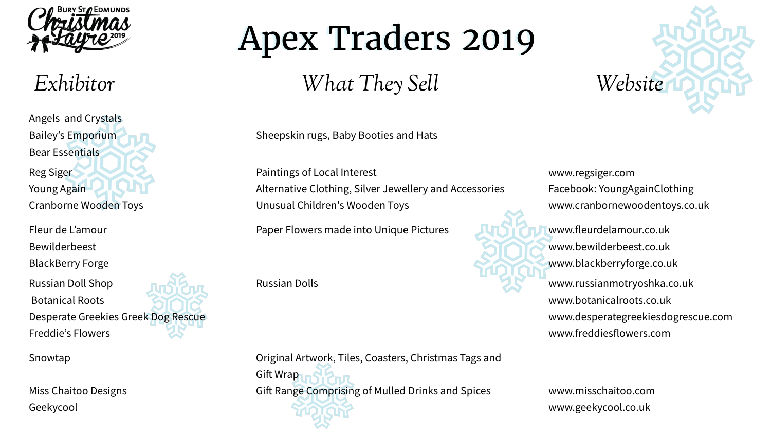Angels and Crystals Bailey's Emporium Bear Essentials Reg Siger Young Again Cranborne Wooden Toys

Sheepskin rugs, Baby Booties and Hats

www.regsiger.com Facebook: YoungAgainClothing www.cranbornewoodentoys.co.uk

Paintings of Local Interest Alternative Clothing, Silver Jewellery and Accessories Unusual Children's Wooden Toys

Fleur de L'amour

Bewilderbeest

BlackBerry Forge

Original Artwork, Tiles, Coasters, Christmas Tags and **Gift Wrap** Gift Range Comprising of Mulled Drinks and Spices

www.fleurdelamour.co.uk www.bewilderbeest.co.uk www.blackberryforge.co.uk

Paper Flowers made into Unique Pictures

Russian Doll Shop

Botanical Roots

Desperate Greekies Greek Dog Rescue

Freddie's Flowers

www.russianmotryoshka.co.uk www.botanicalroots.co.uk www.desperategreekiesdogrescue.com www.freddiesflowers.com

Russian Dolls

Snowtap

Miss Chaitoo Designs Geekycool

www.misschaitoo.com www.geekycool.co.uk







*Exhibitor What They Sell Website* 

## Apex Traders 2019 Apex Traders 2019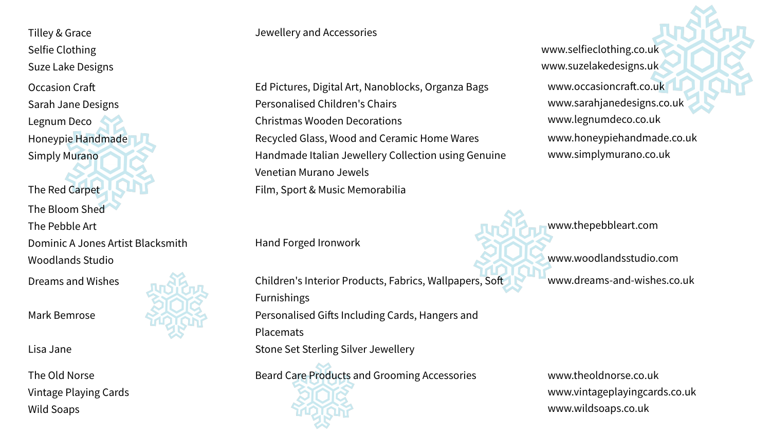Ed Pictures, Digital Art, Nanoblocks, Organza Bags Personalised Children's Chairs Christmas Wooden Decorations Recycled Glass, Wood and Ceramic Home Wares Handmade Italian Jewellery Collection using Genuine Venetian Murano Jewels Film, Sport & Music Memorabilia

Tilley & Grace Jewellery and Accessories Selfie Clothing Suze Lake Designs Occasion Craf Sarah Jane Designs Legnum Deco Honeypie Handmade Simply Murano The Red Carpet The Bloom Shed The Pebble Art Dominic A Jones Artist Blacksmith Woodlands Studio

Hand Forged Ironwork

www.occasioncraft.co.uk www.sarahjanedesigns.co.uk www.legnumdeco.co.uk www.honeypiehandmade.co.uk www.simplymurano.co.uk www.selfieclothing.co.uk www.suzelakedesigns.uk

www.thepebbleart.com

www.woodlandsstudio.com

Dreams and Wishes **Entry Allentis Interior Products, Fabrics**, Wallpapers, Soft www.dreams-and-wishes.co.uk

Furnishings Personalised Gifts Including Cards, Hangers and Placemats Stone Set Sterling Silver Jewellery

Beard Care Products and Grooming Accessories www.theoldnorse.co.uk



Mark Bemrose

Lisa Jane

www.vintageplayingcards.co.uk www.wildsoaps.co.uk



The Old Norse Vintage Playing Cards Wild Soaps